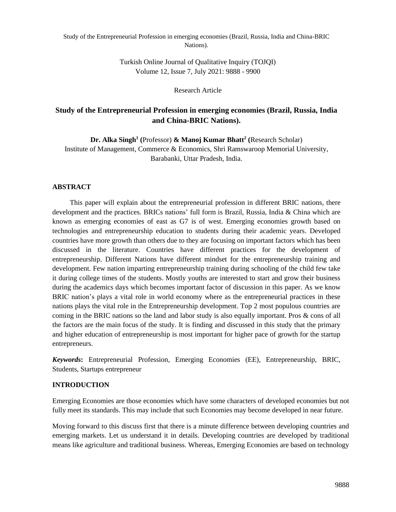Turkish Online Journal of Qualitative Inquiry (TOJQI) Volume 12, Issue 7, July 2021: 9888 - 9900

Research Article

# **Study of the Entrepreneurial Profession in emerging economies (Brazil, Russia, India and China-BRIC Nations).**

**Dr. Alka Singh<sup>1</sup> (**Professor) **& Manoj Kumar Bhatt<sup>2</sup> (**Research Scholar) Institute of Management, Commerce & Economics, Shri Ramswaroop Memorial University, Barabanki, Uttar Pradesh, India.

# **ABSTRACT**

This paper will explain about the entrepreneurial profession in different BRIC nations, there development and the practices. BRICs nations' full form is Brazil, Russia, India & China which are known as emerging economies of east as G7 is of west. Emerging economies growth based on technologies and entrepreneurship education to students during their academic years. Developed countries have more growth than others due to they are focusing on important factors which has been discussed in the literature. Countries have different practices for the development of entrepreneurship. Different Nations have different mindset for the entrepreneurship training and development. Few nation imparting entrepreneurship training during schooling of the child few take it during college times of the students. Mostly youths are interested to start and grow their business during the academics days which becomes important factor of discussion in this paper. As we know BRIC nation's plays a vital role in world economy where as the entrepreneurial practices in these nations plays the vital role in the Entrepreneurship development. Top 2 most populous countries are coming in the BRIC nations so the land and labor study is also equally important. Pros & cons of all the factors are the main focus of the study. It is finding and discussed in this study that the primary and higher education of entrepreneurship is most important for higher pace of growth for the startup entrepreneurs.

*Keywords***:** Entrepreneurial Profession, Emerging Economies (EE), Entrepreneurship, BRIC, Students, Startups entrepreneur

## **INTRODUCTION**

Emerging Economies are those economies which have some characters of developed economies but not fully meet its standards. This may include that such Economies may become developed in near future.

Moving forward to this discuss first that there is a minute difference between developing countries and emerging markets. Let us understand it in details. Developing countries are developed by traditional means like agriculture and traditional business. Whereas, Emerging Economies are based on technology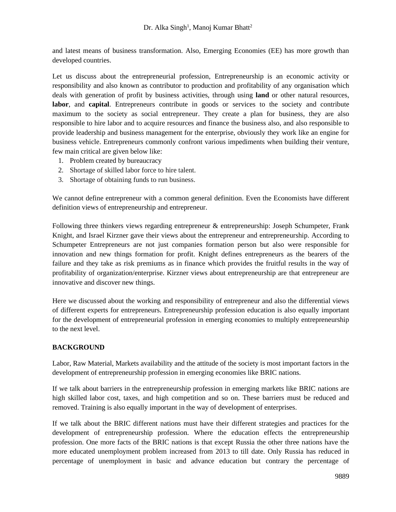and latest means of business transformation. Also, Emerging Economies (EE) has more growth than developed countries.

Let us discuss about the entrepreneurial profession, Entrepreneurship is an economic activity or responsibility and also known as contributor to production and profitability of any organisation which deals with generation of profit by business activities, through using **land** or other natural resources, **labor**, and **capital**. Entrepreneurs contribute in goods or services to the society and contribute maximum to the society as social entrepreneur. They create a plan for business, they are also responsible to hire labor and to acquire resources and finance the business also, and also responsible to provide leadership and business management for the enterprise, obviously they work like an engine for business vehicle. Entrepreneurs commonly confront various impediments when building their venture, few main critical are given below like:

- 1. Problem created by bureaucracy
- 2. Shortage of skilled labor force to hire talent.
- 3. Shortage of obtaining funds to run business.

We cannot define entrepreneur with a common general definition. Even the Economists have different definition views of entrepreneurship and entrepreneur.

Following three thinkers views regarding entrepreneur & entrepreneurship: Joseph Schumpeter, Frank Knight, and Israel Kirzner gave their views about the entrepreneur and entrepreneurship. According to Schumpeter Entrepreneurs are not just companies formation person but also were responsible for innovation and new things formation for profit. Knight defines entrepreneurs as the bearers of the failure and they take as risk premiums as in finance which provides the fruitful results in the way of profitability of organization/enterprise. Kirzner views about entrepreneurship are that entrepreneur are innovative and discover new things.

Here we discussed about the working and responsibility of entrepreneur and also the differential views of different experts for entrepreneurs. Entrepreneurship profession education is also equally important for the development of entrepreneurial profession in emerging economies to multiply entrepreneurship to the next level.

## **BACKGROUND**

Labor, Raw Material, Markets availability and the attitude of the society is most important factors in the development of entrepreneurship profession in emerging economies like BRIC nations.

If we talk about barriers in the entrepreneurship profession in emerging markets like BRIC nations are high skilled labor cost, taxes, and high competition and so on. These barriers must be reduced and removed. Training is also equally important in the way of development of enterprises.

If we talk about the BRIC different nations must have their different strategies and practices for the development of entrepreneurship profession. Where the education effects the entrepreneurship profession. One more facts of the BRIC nations is that except Russia the other three nations have the more educated unemployment problem increased from 2013 to till date. Only Russia has reduced in percentage of unemployment in basic and advance education but contrary the percentage of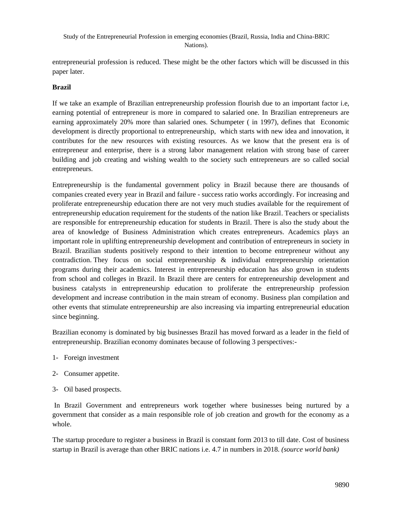entrepreneurial profession is reduced. These might be the other factors which will be discussed in this paper later.

## **Brazil**

If we take an example of Brazilian entrepreneurship profession flourish due to an important factor i.e, earning potential of entrepreneur is more in compared to salaried one. In Brazilian entrepreneurs are earning approximately 20% more than salaried ones. Schumpeter ( in 1997), defines that Economic development is directly proportional to entrepreneurship, which starts with new idea and innovation, it contributes for the new resources with existing resources. As we know that the present era is of entrepreneur and enterprise, there is a strong labor management relation with strong base of career building and job creating and wishing wealth to the society such entrepreneurs are so called social entrepreneurs.

Entrepreneurship is the fundamental government policy in Brazil because there are thousands of companies created every year in Brazil and failure - success ratio works accordingly. For increasing and proliferate entrepreneurship education there are not very much studies available for the requirement of entrepreneurship education requirement for the students of the nation like Brazil. Teachers or specialists are responsible for entrepreneurship education for students in Brazil. There is also the study about the area of knowledge of Business Administration which creates entrepreneurs. Academics plays an important role in uplifting entrepreneurship development and contribution of entrepreneurs in society in Brazil. Brazilian students positively respond to their intention to become entrepreneur without any contradiction. They focus on social entrepreneurship  $\&$  individual entrepreneurship orientation programs during their academics. Interest in entrepreneurship education has also grown in students from school and colleges in Brazil. In Brazil there are centers for entrepreneurship development and business catalysts in entrepreneurship education to proliferate the entrepreneurship profession development and increase contribution in the main stream of economy. Business plan compilation and other events that stimulate entrepreneurship are also increasing via imparting entrepreneurial education since beginning.

Brazilian economy is dominated by big businesses Brazil has moved forward as a leader in the field of entrepreneurship. Brazilian economy dominates because of following 3 perspectives:-

- 1- Foreign investment
- 2- Consumer appetite.
- 3- Oil based prospects.

In Brazil Government and entrepreneurs work together where businesses being nurtured by a government that consider as a main responsible role of job creation and growth for the economy as a whole.

The startup procedure to register a business in Brazil is constant form 2013 to till date. Cost of business startup in Brazil is average than other BRIC nations i.e. 4.7 in numbers in 2018. *(source world bank)*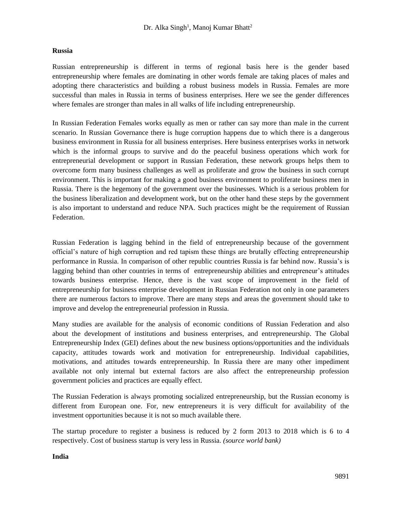#### **Russia**

Russian entrepreneurship is different in terms of regional basis here is the gender based entrepreneurship where females are dominating in other words female are taking places of males and adopting there characteristics and building a robust business models in Russia. Females are more successful than males in Russia in terms of business enterprises. Here we see the gender differences where females are stronger than males in all walks of life including entrepreneurship.

In Russian Federation Females works equally as men or rather can say more than male in the current scenario. In Russian Governance there is huge corruption happens due to which there is a dangerous business environment in Russia for all business enterprises. Here business enterprises works in network which is the informal groups to survive and do the peaceful business operations which work for entrepreneurial development or support in Russian Federation, these network groups helps them to overcome form many business challenges as well as proliferate and grow the business in such corrupt environment. This is important for making a good business environment to proliferate business men in Russia. There is the hegemony of the government over the businesses. Which is a serious problem for the business liberalization and development work, but on the other hand these steps by the government is also important to understand and reduce NPA. Such practices might be the requirement of Russian Federation.

Russian Federation is lagging behind in the field of entrepreneurship because of the government official's nature of high corruption and red tapism these things are brutally effecting entrepreneurship performance in Russia. In comparison of other republic countries Russia is far behind now. Russia's is lagging behind than other countries in terms of entrepreneurship abilities and entrepreneur's attitudes towards business enterprise. Hence, there is the vast scope of improvement in the field of entrepreneurship for business enterprise development in Russian Federation not only in one parameters there are numerous factors to improve. There are many steps and areas the government should take to improve and develop the entrepreneurial profession in Russia.

Many studies are available for the analysis of economic conditions of Russian Federation and also about the development of institutions and business enterprises, and entrepreneurship. The Global Entrepreneurship Index (GEI) defines about the new business options/opportunities and the individuals capacity, attitudes towards work and motivation for entrepreneurship. Individual capabilities, motivations, and attitudes towards entrepreneurship. In Russia there are many other impediment available not only internal but external factors are also affect the entrepreneurship profession government policies and practices are equally effect.

The Russian Federation is always promoting socialized entrepreneurship, but the Russian economy is different from European one. For, new entrepreneurs it is very difficult for availability of the investment opportunities because it is not so much available there.

The startup procedure to register a business is reduced by 2 form 2013 to 2018 which is 6 to 4 respectively. Cost of business startup is very less in Russia. *(source world bank)*

**India**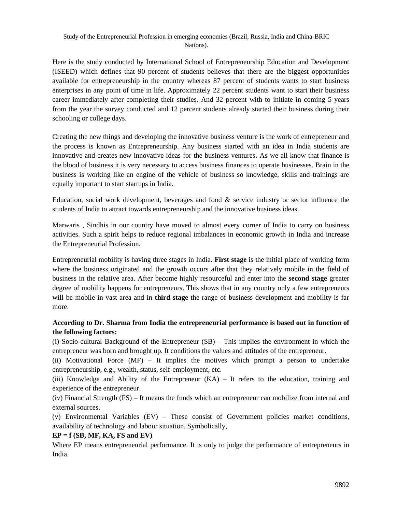Here is the study conducted by International School of Entrepreneurship Education and Development (ISEED) which defines that 90 percent of students believes that there are the biggest opportunities available for entrepreneurship in the country whereas 87 percent of students wants to start business enterprises in any point of time in life. Approximately 22 percent students want to start their business career immediately after completing their studies. And 32 percent with to initiate in coming 5 years from the year the survey conducted and 12 percent students already started their business during their schooling or college days.

Creating the new things and developing the innovative business venture is the work of entrepreneur and the process is known as Entrepreneurship. Any business started with an idea in India students are innovative and creates new innovative ideas for the business ventures. As we all know that finance is the blood of business it is very necessary to access business finances to operate businesses. Brain in the business is working like an engine of the vehicle of business so knowledge, skills and trainings are equally important to start startups in India.

Education, social work development, beverages and food & service industry or sector influence the students of India to attract towards entrepreneurship and the innovative business ideas.

Marwaris , Sindhis in our country have moved to almost every corner of India to carry on business activities. Such a spirit helps to reduce regional imbalances in economic growth in India and increase the Entrepreneurial Profession.

Entrepreneurial mobility is having three stages in India. **First stage** is the initial place of working form where the business originated and the growth occurs after that they relatively mobile in the field of business in the relative area. After become highly resourceful and enter into the **second stage** greater degree of mobility happens for entrepreneurs. This shows that in any country only a few entrepreneurs will be mobile in vast area and in **third stage** the range of business development and mobility is far more.

# **According to Dr. Sharma from India the entrepreneurial performance is based out in function of the following factors:**

(i) Socio-cultural Background of the Entrepreneur (SB) – This implies the environment in which the entrepreneur was born and brought up. It conditions the values and attitudes of the entrepreneur.

(ii) Motivational Force (MF) – It implies the motives which prompt a person to undertake entrepreneurship, e.g., wealth, status, self-employment, etc.

(iii) Knowledge and Ability of the Entrepreneur (KA) – It refers to the education, training and experience of the entrepreneur.

(iv) Financial Strength (FS) – It means the funds which an entrepreneur can mobilize from internal and external sources.

(v) Environmental Variables (EV) – These consist of Government policies market conditions, availability of technology and labour situation. Symbolically,

# **EP = f (SB, MF, KA, FS and EV)**

Where EP means entrepreneurial performance. It is only to judge the performance of entrepreneurs in India.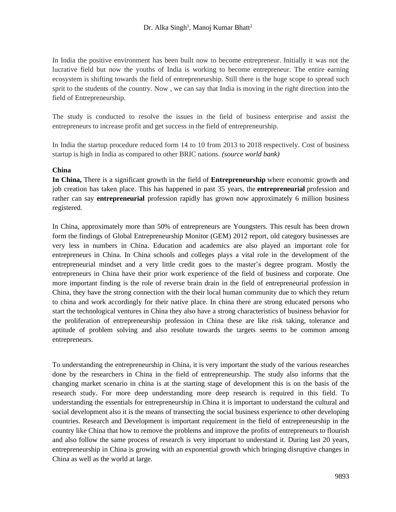In India the positive environment has been built now to become entrepreneur. Initially it was not the lucrative field but now the youths of India is working to become entrepreneur. The entire earning ecosystem is shifting towards the field of entrepreneurship. Still there is the huge scope to spread such sprit to the students of the country. Now , we can say that India is moving in the right direction into the field of Entrepreneurship.

The study is conducted to resolve the issues in the field of business enterprise and assist the entrepreneurs to increase profit and get success in the field of entrepreneurship.

In India the startup procedure reduced form 14 to 10 from 2013 to 2018 respectively. Cost of business startup is high in India as compared to other BRIC nations. *(source world bank)*

## **China**

**In China,** There is a significant growth in the field of **Entrepreneurship** where economic growth and job creation has taken place. This has happened in past 35 years, the **entrepreneurial** profession and rather can say **entrepreneurial** profession rapidly has grown now approximately 6 million business registered.

In China, approximately more than 50% of entrepreneurs are Youngsters. This result has been drown form the findings of Global Entrepreneurship Monitor (GEM) 2012 report, old category businesses are very less in numbers in China. Education and academics are also played an important role for entrepreneurs in China. In China schools and colleges plays a vital role in the development of the entrepreneurial mindset and a very little credit goes to the master's degree program. Mostly the entrepreneurs in China have their prior work experience of the field of business and corporate. One more important finding is the role of reverse brain drain in the field of entrepreneurial profession in China, they have the strong connection with the their local human community due to which they return to china and work accordingly for their native place. In china there are strong educated persons who start the technological ventures in China they also have a strong characteristics of business behavior for the proliferation of entrepreneurship profession in China these are like risk taking, tolerance and aptitude of problem solving and also resolute towards the targets seems to be common among entrepreneurs.

To understanding the entrepreneurship in China, it is very important the study of the various researches done by the researchers in China in the field of entrepreneurship. The study also informs that the changing market scenario in china is at the starting stage of development this is on the basis of the research study. For more deep understanding more deep research is required in this field. To understanding the essentials for entrepreneurship in China it is important to understand the cultural and social development also it is the means of transecting the social business experience to other developing countries. Research and Development is important requirement in the field of entrepreneurship in the country like China that how to remove the problems and improve the profits of entrepreneurs to flourish and also follow the same process of research is very important to understand it. During last 20 years, entrepreneurship in China is growing with an exponential growth which bringing disruptive changes in China as well as the world at large.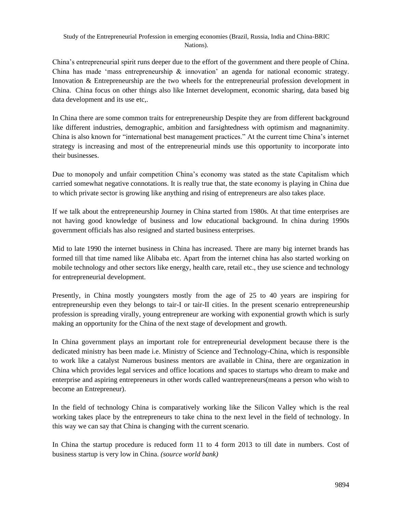China's entrepreneurial spirit runs deeper due to the effort of the government and there people of China. China has made 'mass entrepreneurship  $\&$  innovation' an agenda for national economic strategy. Innovation & Entrepreneurship are the two wheels for the entrepreneurial profession development in China. China focus on other things also like Internet development, economic sharing, data based big data development and its use etc,.

In China there are some common traits for entrepreneurship Despite they are from different background like different industries, demographic, ambition and farsightedness with optimism and magnanimity. China is also known for "international best management practices." At the current time China's internet strategy is increasing and most of the entrepreneurial minds use this opportunity to incorporate into their businesses.

Due to monopoly and unfair competition China's economy was stated as the state Capitalism which carried somewhat negative connotations. It is really true that, the state economy is playing in China due to which private sector is growing like anything and rising of entrepreneurs are also takes place.

If we talk about the entrepreneurship Journey in China started from 1980s. At that time enterprises are not having good knowledge of business and low educational background. In china during 1990s government officials has also resigned and started business enterprises.

Mid to late 1990 the internet business in China has increased. There are many big internet brands has formed till that time named like Alibaba etc. Apart from the internet china has also started working on mobile technology and other sectors like energy, health care, retail etc., they use science and technology for entrepreneurial development.

Presently, in China mostly youngsters mostly from the age of 25 to 40 years are inspiring for entrepreneurship even they belongs to tair-I or tair-II cities. In the present scenario entrepreneurship profession is spreading virally, young entrepreneur are working with exponential growth which is surly making an opportunity for the China of the next stage of development and growth.

In China government plays an important role for entrepreneurial development because there is the dedicated ministry has been made i.e. Ministry of Science and Technology-China, which is responsible to work like a catalyst Numerous business mentors are available in China, there are organization in China which provides legal services and office locations and spaces to startups who dream to make and enterprise and aspiring entrepreneurs in other words called wantrepreneurs(means a person who wish to become an Entrepreneur).

In the field of technology China is comparatively working like the Silicon Valley which is the real working takes place by the entrepreneurs to take china to the next level in the field of technology. In this way we can say that China is changing with the current scenario.

In China the startup procedure is reduced form 11 to 4 form 2013 to till date in numbers. Cost of business startup is very low in China. *(source world bank)*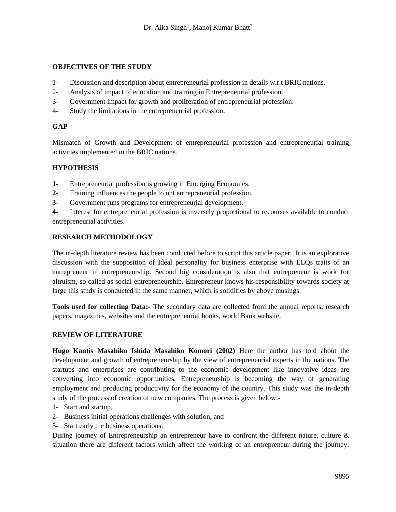## **OBJECTIVES OF THE STUDY**

- 1- Discussion and description about entrepreneurial profession in details w.r.t BRIC nations.
- 2- Analysis of impact of education and training in Entrepreneurial profession.
- 3- Government impact for growth and proliferation of entrepreneurial profession.
- 4- Study the limitations in the entrepreneurial profession.

## **GAP**

Mismatch of Growth and Development of entrepreneurial profession and entrepreneurial training activities implemented in the BRIC nations.

## **HYPOTHESIS**

- **1-** Entrepreneurial profession is growing in Emerging Economies.
- **2-** Training influences the people to opt entrepreneurial profession.
- **3-** Government runs programs for entrepreneurial development.
- **4-** Interest for entrepreneurial profession is inversely proportional to recourses available to conduct entrepreneurial activities.

## **RESEARCH METHODOLOGY**

The in-depth literature review has been conducted before to script this article paper. It is an explorative discussion with the supposition of Ideal personality for business enterprise with ELQs traits of an entrepreneur in entrepreneurship. Second big consideration is also that entrepreneur is work for altruism, so called as social entrepreneurship. Entrepreneur knows his responsibility towards society at large this study is conducted in the same manner, which is solidifies by above musings.

**Tools used for collecting Data:-** The secondary data are collected from the annual reports, research papers, magazines, websites and the entrepreneurial books, world Bank website.

## **REVIEW OF LITERATURE**

**Hugo Kantis Masahiko Ishida Masahiko Komori (2002)** Here the author has told about the development and growth of entrepreneurship by the view of entrepreneurial experts in the nations. The startups and enterprises are contributing to the economic development like innovative ideas are converting into economic opportunities. Entrepreneurship is becoming the way of generating employment and producing productivity for the economy of the country. This study was the in-depth study of the process of creation of new companies. The process is given below:-

- 1- Start and startup,
- 2- Business initial operations challenges with solution, and
- 3- Start early the business operations.

During journey of Entrepreneurship an entrepreneur have to confront the different nature, culture & situation there are different factors which affect the working of an entrepreneur during the journey.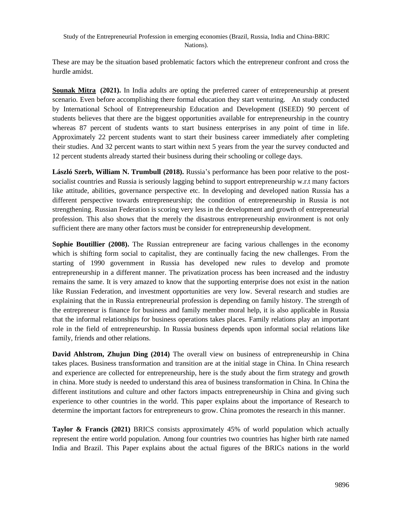These are may be the situation based problematic factors which the entrepreneur confront and cross the hurdle amidst.

**[Sounak Mitra](https://www.business-standard.com/author/search/keyword/sounak-mitra) (2021).** In India adults are opting the preferred career of entrepreneurship at present scenario. Even before accomplishing there formal education they start venturing. An study conducted by International School of Entrepreneurship Education and Development (ISEED) 90 percent of students believes that there are the biggest opportunities available for entrepreneurship in the country whereas 87 percent of students wants to start business enterprises in any point of time in life. Approximately 22 percent students want to start their business career immediately after completing their studies. And 32 percent wants to start within next 5 years from the year the survey conducted and 12 percent students already started their business during their schooling or college days.

**László Szerb, William N. Trumbull (2018).** Russia's performance has been poor relative to the postsocialist countries and Russia is seriously lagging behind to support entrepreneurship w.r.t many factors like attitude, abilities, governance perspective etc. In developing and developed nation Russia has a different perspective towards entrepreneurship; the condition of entrepreneurship in Russia is not strengthening. Russian Federation is scoring very less in the development and growth of entrepreneurial profession. This also shows that the merely the disastrous entrepreneurship environment is not only sufficient there are many other factors must be consider for entrepreneurship development.

**Sophie Boutillier (2008).** The Russian entrepreneur are facing various challenges in the economy which is shifting form social to capitalist, they are continually facing the new challenges. From the starting of 1990 government in Russia has developed new rules to develop and promote entrepreneurship in a different manner. The privatization process has been increased and the industry remains the same. It is very amazed to know that the supporting enterprise does not exist in the nation like Russian Federation, and investment opportunities are very low. Several research and studies are explaining that the in Russia entrepreneurial profession is depending on family history. The strength of the entrepreneur is finance for business and family member moral help, it is also applicable in Russia that the informal relationships for business operations takes places. Family relations play an important role in the field of entrepreneurship. In Russia business depends upon informal social relations like family, friends and other relations.

**David Ahlstrom, Zhujun Ding (2014)** The overall view on business of entrepreneurship in China takes places. Business transformation and transition are at the initial stage in China. In China research and experience are collected for entrepreneurship, here is the study about the firm strategy and growth in china. More study is needed to understand this area of business transformation in China. In China the different institutions and culture and other factors impacts entrepreneurship in China and giving such experience to other countries in the world. This paper explains about the importance of Research to determine the important factors for entrepreneurs to grow. China promotes the research in this manner.

**Taylor & Francis (2021)** BRICS consists approximately 45% of world population which actually represent the entire world population. Among four countries two countries has higher birth rate named India and Brazil. This Paper explains about the actual figures of the BRICs nations in the world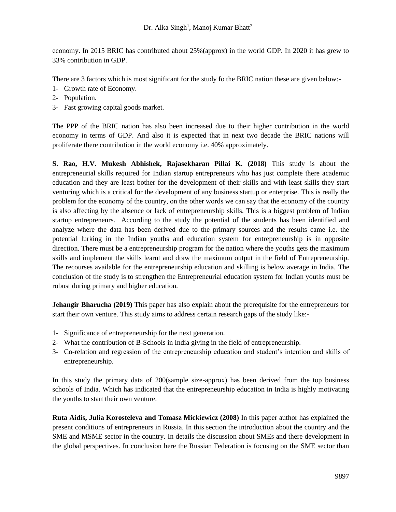economy. In 2015 BRIC has contributed about 25%(approx) in the world GDP. In 2020 it has grew to 33% contribution in GDP.

There are 3 factors which is most significant for the study fo the BRIC nation these are given below:-

- 1- Growth rate of Economy.
- 2- Population.
- 3- Fast growing capital goods market.

The PPP of the BRIC nation has also been increased due to their higher contribution in the world economy in terms of GDP. And also it is expected that in next two decade the BRIC nations will proliferate there contribution in the world economy i.e. 40% approximately.

**S. Rao, H.V. Mukesh Abhishek, Rajasekharan Pillai K. (2018)** This study is about the entrepreneurial skills required for Indian startup entrepreneurs who has just complete there academic education and they are least bother for the development of their skills and with least skills they start venturing which is a critical for the development of any business startup or enterprise. This is really the problem for the economy of the country, on the other words we can say that the economy of the country is also affecting by the absence or lack of entrepreneurship skills. This is a biggest problem of Indian startup entrepreneurs. According to the study the potential of the students has been identified and analyze where the data has been derived due to the primary sources and the results came i.e. the potential lurking in the Indian youths and education system for entrepreneurship is in opposite direction. There must be a entrepreneurship program for the nation where the youths gets the maximum skills and implement the skills learnt and draw the maximum output in the field of Entrepreneurship. The recourses available for the entrepreneurship education and skilling is below average in India. The conclusion of the study is to strengthen the Entrepreneurial education system for Indian youths must be robust during primary and higher education.

**Jehangir Bharucha (2019)** This paper has also explain about the prerequisite for the entrepreneurs for start their own venture. This study aims to address certain research gaps of the study like:-

- 1- Significance of entrepreneurship for the next generation.
- 2- What the contribution of B-Schools in India giving in the field of entrepreneurship.
- 3- Co-relation and regression of the entrepreneurship education and student's intention and skills of entrepreneurship.

In this study the primary data of 200(sample size-approx) has been derived from the top business schools of India. Which has indicated that the entrepreneurship education in India is highly motivating the youths to start their own venture.

**Ruta Aidis, Julia Korosteleva and Tomasz Mickiewicz (2008)** In this paper author has explained the present conditions of entrepreneurs in Russia. In this section the introduction about the country and the SME and MSME sector in the country. In details the discussion about SMEs and there development in the global perspectives. In conclusion here the Russian Federation is focusing on the SME sector than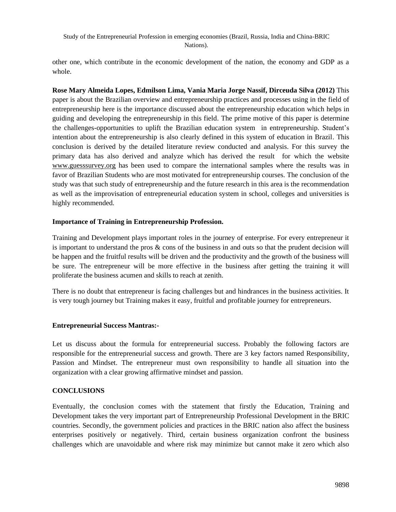other one, which contribute in the economic development of the nation, the economy and GDP as a whole.

**Rose Mary Almeida Lopes, Edmilson Lima, Vania Maria Jorge Nassif, Dirceuda Silva (2012)** This paper is about the Brazilian overview and entrepreneurship practices and processes using in the field of entrepreneurship here is the importance discussed about the entrepreneurship education which helps in guiding and developing the entrepreneurship in this field. The prime motive of this paper is determine the challenges-opportunities to uplift the Brazilian education system in entrepreneurship. Student's intention about the entrepreneurship is also clearly defined in this system of education in Brazil. This conclusion is derived by the detailed literature review conducted and analysis. For this survey the primary data has also derived and analyze which has derived the result for which the website [www.guesssurvey.org](http://www.guesssurvey.org/) has been used to compare the international samples where the results was in favor of Brazilian Students who are most motivated for entrepreneurship courses. The conclusion of the study was that such study of entrepreneurship and the future research in this area is the recommendation as well as the improvisation of entrepreneurial education system in school, colleges and universities is highly recommended.

## **Importance of Training in Entrepreneurship Profession.**

Training and Development plays important roles in the journey of enterprise. For every entrepreneur it is important to understand the pros & cons of the business in and outs so that the prudent decision will be happen and the fruitful results will be driven and the productivity and the growth of the business will be sure. The entrepreneur will be more effective in the business after getting the training it will proliferate the business acumen and skills to reach at zenith.

There is no doubt that entrepreneur is facing challenges but and hindrances in the business activities. It is very tough journey but Training makes it easy, fruitful and profitable journey for entrepreneurs.

# **Entrepreneurial Success Mantras:-**

Let us discuss about the formula for entrepreneurial success. Probably the following factors are responsible for the entrepreneurial success and growth. There are 3 key factors named Responsibility, Passion and Mindset. The entrepreneur must own responsibility to handle all situation into the organization with a clear growing affirmative mindset and passion.

## **CONCLUSIONS**

Eventually, the conclusion comes with the statement that firstly the Education, Training and Development takes the very important part of Entrepreneurship Professional Development in the BRIC countries. Secondly, the government policies and practices in the BRIC nation also affect the business enterprises positively or negatively. Third, certain business organization confront the business challenges which are unavoidable and where risk may minimize but cannot make it zero which also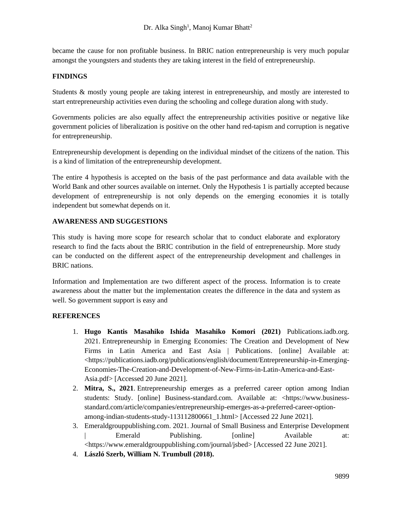became the cause for non profitable business. In BRIC nation entrepreneurship is very much popular amongst the youngsters and students they are taking interest in the field of entrepreneurship.

# **FINDINGS**

Students & mostly young people are taking interest in entrepreneurship, and mostly are interested to start entrepreneurship activities even during the schooling and college duration along with study.

Governments policies are also equally affect the entrepreneurship activities positive or negative like government policies of liberalization is positive on the other hand red-tapism and corruption is negative for entrepreneurship.

Entrepreneurship development is depending on the individual mindset of the citizens of the nation. This is a kind of limitation of the entrepreneurship development.

The entire 4 hypothesis is accepted on the basis of the past performance and data available with the World Bank and other sources available on internet. Only the Hypothesis 1 is partially accepted because development of entrepreneurship is not only depends on the emerging economies it is totally independent but somewhat depends on it.

## **AWARENESS AND SUGGESTIONS**

This study is having more scope for research scholar that to conduct elaborate and exploratory research to find the facts about the BRIC contribution in the field of entrepreneurship. More study can be conducted on the different aspect of the entrepreneurship development and challenges in BRIC nations.

Information and Implementation are two different aspect of the process. Information is to create awareness about the matter but the implementation creates the difference in the data and system as well. So government support is easy and

## **REFERENCES**

- 1. **Hugo Kantis Masahiko Ishida Masahiko Komori (2021)** Publications.iadb.org. 2021. Entrepreneurship in Emerging Economies: The Creation and Development of New Firms in Latin America and East Asia | Publications. [online] Available at: <https://publications.iadb.org/publications/english/document/Entrepreneurship-in-Emerging-Economies-The-Creation-and-Development-of-New-Firms-in-Latin-America-and-East-Asia.pdf> [Accessed 20 June 2021].
- 2. **Mitra, S., 2021**. Entrepreneurship emerges as a preferred career option among Indian students: Study. [online] Business-standard.com. Available at: <https://www.businessstandard.com/article/companies/entrepreneurship-emerges-as-a-preferred-career-optionamong-indian-students-study-113112800661\_1.html> [Accessed 22 June 2021].
- 3. Emeraldgrouppublishing.com. 2021. Journal of Small Business and Enterprise Development | Emerald Publishing.  $[online]$  Available at: <https://www.emeraldgrouppublishing.com/journal/jsbed> [Accessed 22 June 2021].
- 4. **László Szerb, William N. Trumbull (2018).**